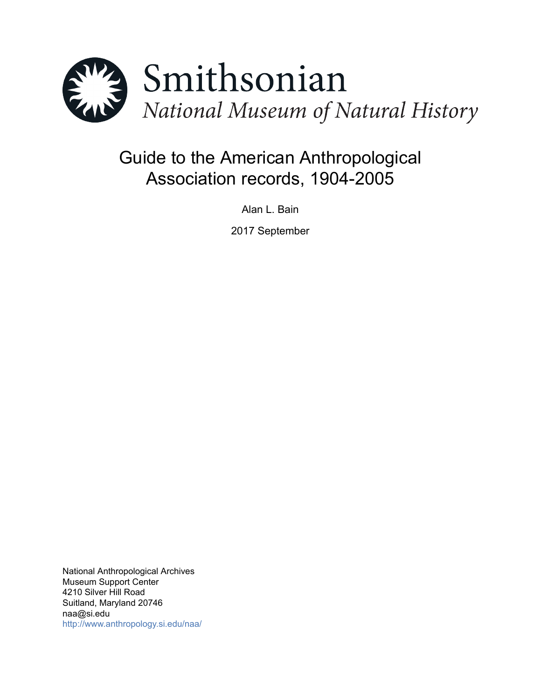

# Guide to the American Anthropological Association records, 1904-2005

Alan L. Bain

2017 September

National Anthropological Archives Museum Support Center 4210 Silver Hill Road Suitland, Maryland 20746 naa@si.edu <http://www.anthropology.si.edu/naa/>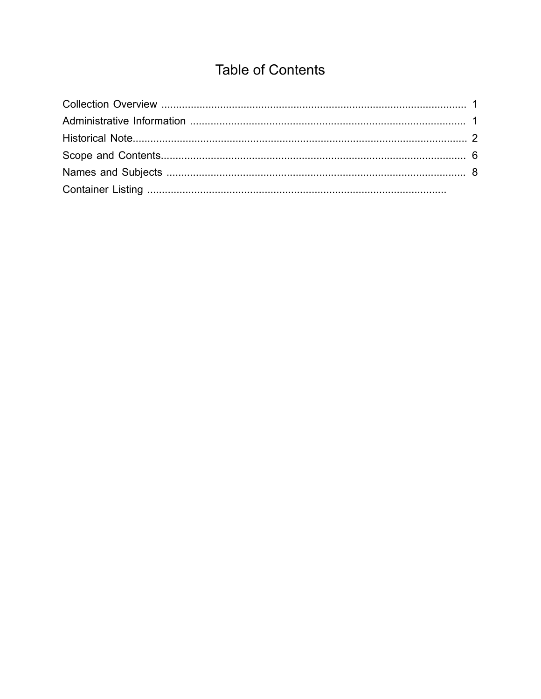# **Table of Contents**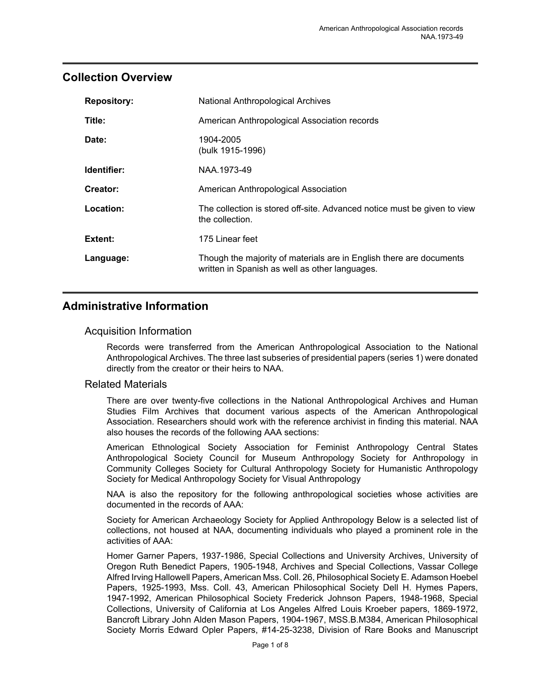### <span id="page-2-0"></span>**Collection Overview**

| <b>Repository:</b> | <b>National Anthropological Archives</b>                                                                              |
|--------------------|-----------------------------------------------------------------------------------------------------------------------|
| Title:             | American Anthropological Association records                                                                          |
| Date:              | 1904-2005<br>(bulk 1915-1996)                                                                                         |
| Identifier:        | NAA.1973-49                                                                                                           |
| Creator:           | American Anthropological Association                                                                                  |
| Location:          | The collection is stored off-site. Advanced notice must be given to view<br>the collection.                           |
| Extent:            | 175 Linear feet                                                                                                       |
| Language:          | Though the majority of materials are in English there are documents<br>written in Spanish as well as other languages. |

# <span id="page-2-1"></span>**Administrative Information**

#### Acquisition Information

Records were transferred from the American Anthropological Association to the National Anthropological Archives. The three last subseries of presidential papers (series 1) were donated directly from the creator or their heirs to NAA.

#### Related Materials

There are over twenty-five collections in the National Anthropological Archives and Human Studies Film Archives that document various aspects of the American Anthropological Association. Researchers should work with the reference archivist in finding this material. NAA also houses the records of the following AAA sections:

American Ethnological Society Association for Feminist Anthropology Central States Anthropological Society Council for Museum Anthropology Society for Anthropology in Community Colleges Society for Cultural Anthropology Society for Humanistic Anthropology Society for Medical Anthropology Society for Visual Anthropology

NAA is also the repository for the following anthropological societies whose activities are documented in the records of AAA:

Society for American Archaeology Society for Applied Anthropology Below is a selected list of collections, not housed at NAA, documenting individuals who played a prominent role in the activities of AAA:

Homer Garner Papers, 1937-1986, Special Collections and University Archives, University of Oregon Ruth Benedict Papers, 1905-1948, Archives and Special Collections, Vassar College Alfred Irving Hallowell Papers, American Mss. Coll. 26, Philosophical Society E. Adamson Hoebel Papers, 1925-1993, Mss. Coll. 43, American Philosophical Society Dell H. Hymes Papers, 1947-1992, American Philosophical Society Frederick Johnson Papers, 1948-1968, Special Collections, University of California at Los Angeles Alfred Louis Kroeber papers, 1869-1972, Bancroft Library John Alden Mason Papers, 1904-1967, MSS.B.M384, American Philosophical Society Morris Edward Opler Papers, #14-25-3238, Division of Rare Books and Manuscript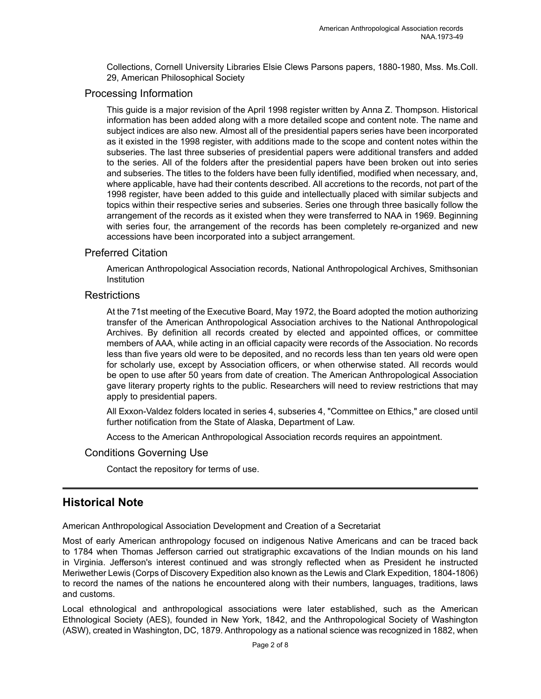Collections, Cornell University Libraries Elsie Clews Parsons papers, 1880-1980, Mss. Ms.Coll. 29, American Philosophical Society

#### Processing Information

This guide is a major revision of the April 1998 register written by Anna Z. Thompson. Historical information has been added along with a more detailed scope and content note. The name and subject indices are also new. Almost all of the presidential papers series have been incorporated as it existed in the 1998 register, with additions made to the scope and content notes within the subseries. The last three subseries of presidential papers were additional transfers and added to the series. All of the folders after the presidential papers have been broken out into series and subseries. The titles to the folders have been fully identified, modified when necessary, and, where applicable, have had their contents described. All accretions to the records, not part of the 1998 register, have been added to this guide and intellectually placed with similar subjects and topics within their respective series and subseries. Series one through three basically follow the arrangement of the records as it existed when they were transferred to NAA in 1969. Beginning with series four, the arrangement of the records has been completely re-organized and new accessions have been incorporated into a subject arrangement.

#### Preferred Citation

American Anthropological Association records, National Anthropological Archives, Smithsonian **Institution** 

#### **Restrictions**

At the 71st meeting of the Executive Board, May 1972, the Board adopted the motion authorizing transfer of the American Anthropological Association archives to the National Anthropological Archives. By definition all records created by elected and appointed offices, or committee members of AAA, while acting in an official capacity were records of the Association. No records less than five years old were to be deposited, and no records less than ten years old were open for scholarly use, except by Association officers, or when otherwise stated. All records would be open to use after 50 years from date of creation. The American Anthropological Association gave literary property rights to the public. Researchers will need to review restrictions that may apply to presidential papers.

All Exxon-Valdez folders located in series 4, subseries 4, "Committee on Ethics," are closed until further notification from the State of Alaska, Department of Law.

Access to the American Anthropological Association records requires an appointment.

#### Conditions Governing Use

Contact the repository for terms of use.

### <span id="page-3-0"></span>**Historical Note**

American Anthropological Association Development and Creation of a Secretariat

Most of early American anthropology focused on indigenous Native Americans and can be traced back to 1784 when Thomas Jefferson carried out stratigraphic excavations of the Indian mounds on his land in Virginia. Jefferson's interest continued and was strongly reflected when as President he instructed Meriwether Lewis (Corps of Discovery Expedition also known as the Lewis and Clark Expedition, 1804-1806) to record the names of the nations he encountered along with their numbers, languages, traditions, laws and customs.

Local ethnological and anthropological associations were later established, such as the American Ethnological Society (AES), founded in New York, 1842, and the Anthropological Society of Washington (ASW), created in Washington, DC, 1879. Anthropology as a national science was recognized in 1882, when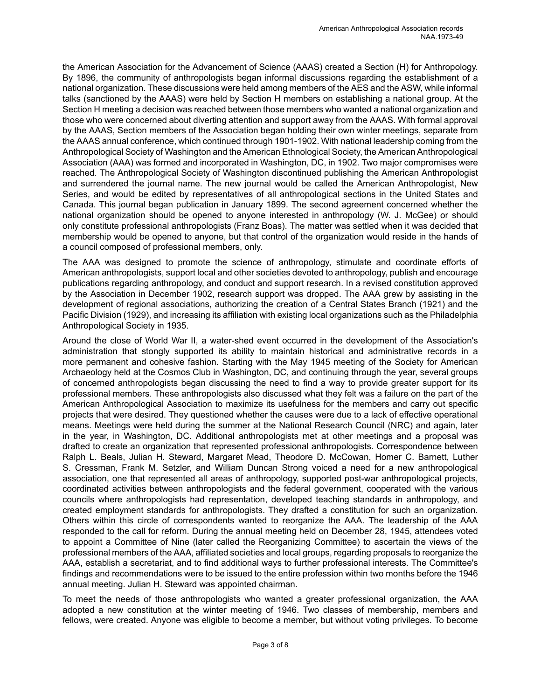the American Association for the Advancement of Science (AAAS) created a Section (H) for Anthropology. By 1896, the community of anthropologists began informal discussions regarding the establishment of a national organization. These discussions were held among members of the AES and the ASW, while informal talks (sanctioned by the AAAS) were held by Section H members on establishing a national group. At the Section H meeting a decision was reached between those members who wanted a national organization and those who were concerned about diverting attention and support away from the AAAS. With formal approval by the AAAS, Section members of the Association began holding their own winter meetings, separate from the AAAS annual conference, which continued through 1901-1902. With national leadership coming from the Anthropological Societyof Washingtonandthe American Ethnological Society, the American Anthropological Association (AAA) was formed and incorporated in Washington, DC, in 1902. Two major compromises were reached. The Anthropological Society of Washington discontinued publishing the American Anthropologist and surrendered the journal name. The new journal would be called the American Anthropologist, New Series, and would be edited by representatives of all anthropological sections in the United States and Canada. This journal began publication in January 1899. The second agreement concerned whether the national organization should be opened to anyone interested in anthropology (W. J. McGee) or should only constitute professional anthropologists (Franz Boas). The matter was settled when it was decided that membership would be opened to anyone, but that control of the organization would reside in the hands of a council composed of professional members, only.

The AAA was designed to promote the science of anthropology, stimulate and coordinate efforts of American anthropologists, support local and other societies devoted to anthropology, publish and encourage publications regarding anthropology, and conduct and support research. In a revised constitution approved by the Association in December 1902, research support was dropped. The AAA grew by assisting in the development of regional associations, authorizing the creation of a Central States Branch (1921) and the Pacific Division (1929), and increasing its affiliation with existing local organizations such as the Philadelphia Anthropological Society in 1935.

Around the close of World War II, a water-shed event occurred in the development of the Association's administration that stongly supported its ability to maintain historical and administrative records in a more permanent and cohesive fashion. Starting with the May 1945 meeting of the Society for American Archaeology held at the Cosmos Club in Washington, DC, and continuing through the year, several groups of concerned anthropologists began discussing the need to find a way to provide greater support for its professional members. These anthropologists also discussed what they felt was a failure on the part of the American Anthropological Association to maximize its usefulness for the members and carry out specific projects that were desired. They questioned whether the causes were due to a lack of effective operational means. Meetings were held during the summer at the National Research Council (NRC) and again, later in the year, in Washington, DC. Additional anthropologists met at other meetings and a proposal was drafted to create an organization that represented professional anthropologists. Correspondence between Ralph L. Beals, Julian H. Steward, Margaret Mead, Theodore D. McCowan, Homer C. Barnett, Luther S. Cressman, Frank M. Setzler, and William Duncan Strong voiced a need for a new anthropological association, one that represented all areas of anthropology, supported post-war anthropological projects, coordinated activities between anthropologists and the federal government, cooperated with the various councils where anthropologists had representation, developed teaching standards in anthropology, and created employment standards for anthropologists. They drafted a constitution for such an organization. Others within this circle of correspondents wanted to reorganize the AAA. The leadership of the AAA responded to the call for reform. During the annual meeting held on December 28, 1945, attendees voted to appoint a Committee of Nine (later called the Reorganizing Committee) to ascertain the views of the professional members of the AAA, affiliated societies and local groups, regarding proposals to reorganize the AAA, establish a secretariat, and to find additional ways to further professional interests. The Committee's findings and recommendations were to be issued to the entire profession within two months before the 1946 annual meeting. Julian H. Steward was appointed chairman.

To meet the needs of those anthropologists who wanted a greater professional organization, the AAA adopted a new constitution at the winter meeting of 1946. Two classes of membership, members and fellows, were created. Anyone was eligible to become a member, but without voting privileges. To become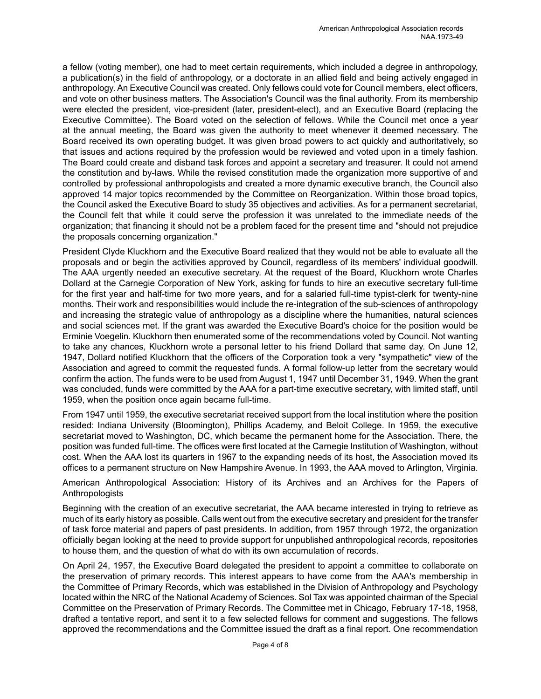a fellow (voting member), one had to meet certain requirements, which included a degree in anthropology, a publication(s) in the field of anthropology, or a doctorate in an allied field and being actively engaged in anthropology. An Executive Council was created. Only fellows could vote for Council members, elect officers, and vote on other business matters. The Association's Council was the final authority. From its membership were elected the president, vice-president (later, president-elect), and an Executive Board (replacing the Executive Committee). The Board voted on the selection of fellows. While the Council met once a year at the annual meeting, the Board was given the authority to meet whenever it deemed necessary. The Board received its own operating budget. It was given broad powers to act quickly and authoritatively, so that issues and actions required by the profession would be reviewed and voted upon in a timely fashion. The Board could create and disband task forces and appoint a secretary and treasurer. It could not amend the constitution and by-laws. While the revised constitution made the organization more supportive of and controlled by professional anthropologists and created a more dynamic executive branch, the Council also approved 14 major topics recommended by the Committee on Reorganization. Within those broad topics, the Council asked the Executive Board to study 35 objectives and activities. As for a permanent secretariat, the Council felt that while it could serve the profession it was unrelated to the immediate needs of the organization; that financing it should not be a problem faced for the present time and "should not prejudice the proposals concerning organization."

President Clyde Kluckhorn and the Executive Board realized that they would not be able to evaluate all the proposals and or begin the activities approved by Council, regardless of its members' individual goodwill. The AAA urgently needed an executive secretary. At the request of the Board, Kluckhorn wrote Charles Dollard at the Carnegie Corporation of New York, asking for funds to hire an executive secretary full-time for the first year and half-time for two more years, and for a salaried full-time typist-clerk for twenty-nine months. Their work and responsibilities would include the re-integration of the sub-sciences of anthropology and increasing the strategic value of anthropology as a discipline where the humanities, natural sciences and social sciences met. If the grant was awarded the Executive Board's choice for the position would be Erminie Voegelin. Kluckhorn then enumerated some of the recommendations voted by Council. Not wanting to take any chances, Kluckhorn wrote a personal letter to his friend Dollard that same day. On June 12, 1947, Dollard notified Kluckhorn that the officers of the Corporation took a very "sympathetic" view of the Association and agreed to commit the requested funds. A formal follow-up letter from the secretary would confirm the action. The funds were to be used from August 1, 1947 until December 31, 1949. When the grant was concluded, funds were committed by the AAA for a part-time executive secretary, with limited staff, until 1959, when the position once again became full-time.

From 1947 until 1959, the executive secretariat received support from the local institution where the position resided: Indiana University (Bloomington), Phillips Academy, and Beloit College. In 1959, the executive secretariat moved to Washington, DC, which became the permanent home for the Association. There, the position was funded full-time. The offices were first located at the Carnegie Institution of Washington, without cost. When the AAA lost its quarters in 1967 to the expanding needs of its host, the Association moved its offices to a permanent structure on New Hampshire Avenue. In 1993, the AAA moved to Arlington, Virginia.

American Anthropological Association: History of its Archives and an Archives for the Papers of Anthropologists

Beginning with the creation of an executive secretariat, the AAA became interested in trying to retrieve as much of its early history as possible. Calls went out from the executive secretary and president for the transfer of task force material and papers of past presidents. In addition, from 1957 through 1972, the organization officially began looking at the need to provide support for unpublished anthropological records, repositories to house them, and the question of what do with its own accumulation of records.

On April 24, 1957, the Executive Board delegated the president to appoint a committee to collaborate on the preservation of primary records. This interest appears to have come from the AAA's membership in the Committee of Primary Records, which was established in the Division of Anthropology and Psychology located within the NRC of the National Academy of Sciences. Sol Tax was appointed chairman of the Special Committee on the Preservation of Primary Records. The Committee met in Chicago, February 17-18, 1958, drafted a tentative report, and sent it to a few selected fellows for comment and suggestions. The fellows approved the recommendations and the Committee issued the draft as a final report. One recommendation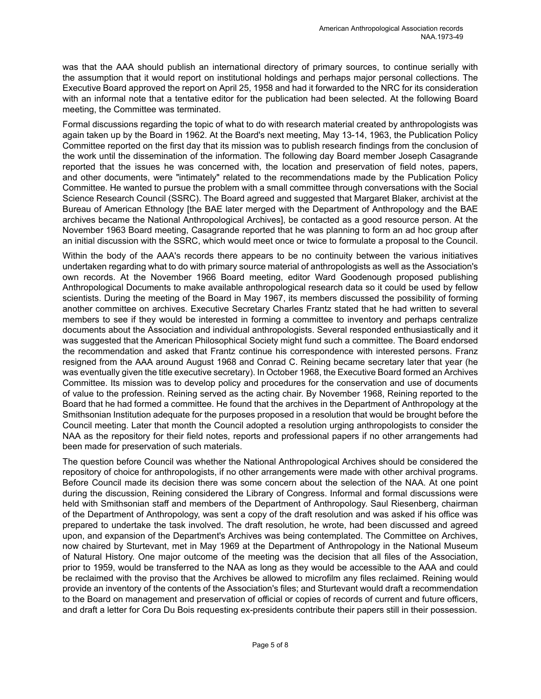was that the AAA should publish an international directory of primary sources, to continue serially with the assumption that it would report on institutional holdings and perhaps major personal collections. The Executive Board approved the report on April 25, 1958 and had it forwarded to the NRC for its consideration with an informal note that a tentative editor for the publication had been selected. At the following Board meeting, the Committee was terminated.

Formal discussions regarding the topic of what to do with research material created by anthropologists was again taken up by the Board in 1962. At the Board's next meeting, May 13-14, 1963, the Publication Policy Committee reported on the first day that its mission was to publish research findings from the conclusion of the work until the dissemination of the information. The following day Board member Joseph Casagrande reported that the issues he was concerned with, the location and preservation of field notes, papers, and other documents, were "intimately" related to the recommendations made by the Publication Policy Committee. He wanted to pursue the problem with a small committee through conversations with the Social Science Research Council (SSRC). The Board agreed and suggested that Margaret Blaker, archivist at the Bureau of American Ethnology [the BAE later merged with the Department of Anthropology and the BAE archives became the National Anthropological Archives], be contacted as a good resource person. At the November 1963 Board meeting, Casagrande reported that he was planning to form an ad hoc group after an initial discussion with the SSRC, which would meet once or twice to formulate a proposal to the Council.

Within the body of the AAA's records there appears to be no continuity between the various initiatives undertaken regarding what to do with primary source material of anthropologists as well as the Association's own records. At the November 1966 Board meeting, editor Ward Goodenough proposed publishing Anthropological Documents to make available anthropological research data so it could be used by fellow scientists. During the meeting of the Board in May 1967, its members discussed the possibility of forming another committee on archives. Executive Secretary Charles Frantz stated that he had written to several members to see if they would be interested in forming a committee to inventory and perhaps centralize documents about the Association and individual anthropologists. Several responded enthusiastically and it was suggested that the American Philosophical Society might fund such a committee. The Board endorsed the recommendation and asked that Frantz continue his correspondence with interested persons. Franz resigned from the AAA around August 1968 and Conrad C. Reining became secretary later that year (he was eventually given the title executive secretary). In October 1968, the Executive Board formed an Archives Committee. Its mission was to develop policy and procedures for the conservation and use of documents of value to the profession. Reining served as the acting chair. By November 1968, Reining reported to the Board that he had formed a committee. He found that the archives in the Department of Anthropology at the Smithsonian Institution adequate for the purposes proposed in a resolution that would be brought before the Council meeting. Later that month the Council adopted a resolution urging anthropologists to consider the NAA as the repository for their field notes, reports and professional papers if no other arrangements had been made for preservation of such materials.

The question before Council was whether the National Anthropological Archives should be considered the repository of choice for anthropologists, if no other arrangements were made with other archival programs. Before Council made its decision there was some concern about the selection of the NAA. At one point during the discussion, Reining considered the Library of Congress. Informal and formal discussions were held with Smithsonian staff and members of the Department of Anthropology. Saul Riesenberg, chairman of the Department of Anthropology, was sent a copy of the draft resolution and was asked if his office was prepared to undertake the task involved. The draft resolution, he wrote, had been discussed and agreed upon, and expansion of the Department's Archives was being contemplated. The Committee on Archives, now chaired by Sturtevant, met in May 1969 at the Department of Anthropology in the National Museum of Natural History. One major outcome of the meeting was the decision that all files of the Association, prior to 1959, would be transferred to the NAA as long as they would be accessible to the AAA and could be reclaimed with the proviso that the Archives be allowed to microfilm any files reclaimed. Reining would provide an inventory of the contents of the Association's files; and Sturtevant would draft a recommendation to the Board on management and preservation of official or copies of records of current and future officers, and draft a letter for Cora Du Bois requesting ex-presidents contribute their papers still in their possession.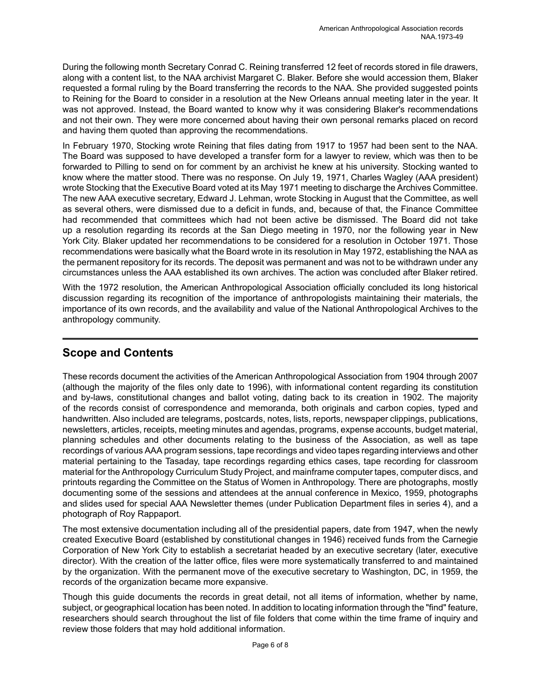During the following month Secretary Conrad C. Reining transferred 12 feet of records stored in file drawers, along with a content list, to the NAA archivist Margaret C. Blaker. Before she would accession them, Blaker requested a formal ruling by the Board transferring the records to the NAA. She provided suggested points to Reining for the Board to consider in a resolution at the New Orleans annual meeting later in the year. It was not approved. Instead, the Board wanted to know why it was considering Blaker's recommendations and not their own. They were more concerned about having their own personal remarks placed on record and having them quoted than approving the recommendations.

In February 1970, Stocking wrote Reining that files dating from 1917 to 1957 had been sent to the NAA. The Board was supposed to have developed a transfer form for a lawyer to review, which was then to be forwarded to Pilling to send on for comment by an archivist he knew at his university. Stocking wanted to know where the matter stood. There was no response. On July 19, 1971, Charles Wagley (AAA president) wrote Stocking that the Executive Board voted at its May 1971 meeting to discharge the Archives Committee. The new AAA executive secretary, Edward J. Lehman, wrote Stocking in August that the Committee, as well as several others, were dismissed due to a deficit in funds, and, because of that, the Finance Committee had recommended that committees which had not been active be dismissed. The Board did not take up a resolution regarding its records at the San Diego meeting in 1970, nor the following year in New York City. Blaker updated her recommendations to be considered for a resolution in October 1971. Those recommendations were basically what the Board wrote in its resolution in May 1972, establishing the NAA as the permanent repository for its records. The deposit was permanent and was not to be withdrawn under any circumstances unless the AAA established its own archives. The action was concluded after Blaker retired.

With the 1972 resolution, the American Anthropological Association officially concluded its long historical discussion regarding its recognition of the importance of anthropologists maintaining their materials, the importance of its own records, and the availability and value of the National Anthropological Archives to the anthropology community.

# <span id="page-7-0"></span>**Scope and Contents**

These records document the activities of the American Anthropological Association from 1904 through 2007 (although the majority of the files only date to 1996), with informational content regarding its constitution and by-laws, constitutional changes and ballot voting, dating back to its creation in 1902. The majority of the records consist of correspondence and memoranda, both originals and carbon copies, typed and handwritten. Also included are telegrams, postcards, notes, lists, reports, newspaper clippings, publications, newsletters, articles, receipts, meeting minutes and agendas, programs, expense accounts, budget material, planning schedules and other documents relating to the business of the Association, as well as tape recordings of various AAA program sessions, tape recordings and video tapes regarding interviews and other material pertaining to the Tasaday, tape recordings regarding ethics cases, tape recording for classroom material for the Anthropology Curriculum Study Project, and mainframe computer tapes, computer discs, and printouts regarding the Committee on the Status of Women in Anthropology. There are photographs, mostly documenting some of the sessions and attendees at the annual conference in Mexico, 1959, photographs and slides used for special AAA Newsletter themes (under Publication Department files in series 4), and a photograph of Roy Rappaport.

The most extensive documentation including all of the presidential papers, date from 1947, when the newly created Executive Board (established by constitutional changes in 1946) received funds from the Carnegie Corporation of New York City to establish a secretariat headed by an executive secretary (later, executive director). With the creation of the latter office, files were more systematically transferred to and maintained by the organization. With the permanent move of the executive secretary to Washington, DC, in 1959, the records of the organization became more expansive.

Though this guide documents the records in great detail, not all items of information, whether by name, subject, or geographical location has been noted. In addition to locating information through the "find" feature, researchers should search throughout the list of file folders that come within the time frame of inquiry and review those folders that may hold additional information.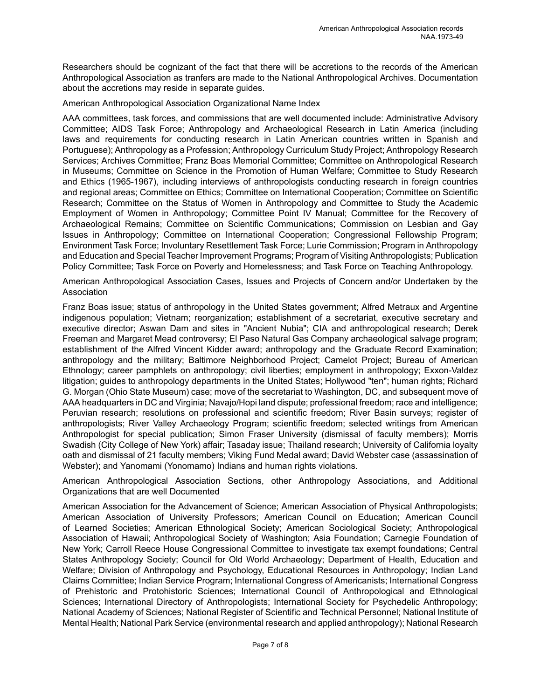Researchers should be cognizant of the fact that there will be accretions to the records of the American Anthropological Association as tranfers are made to the National Anthropological Archives. Documentation about the accretions may reside in separate guides.

#### American Anthropological Association Organizational Name Index

AAA committees, task forces, and commissions that are well documented include: Administrative Advisory Committee; AIDS Task Force; Anthropology and Archaeological Research in Latin America (including laws and requirements for conducting research in Latin American countries written in Spanish and Portuguese); Anthropology as a Profession; Anthropology Curriculum Study Project; Anthropology Research Services; Archives Committee; Franz Boas Memorial Committee; Committee on Anthropological Research in Museums; Committee on Science in the Promotion of Human Welfare; Committee to Study Research and Ethics (1965-1967), including interviews of anthropologists conducting research in foreign countries and regional areas; Committee on Ethics; Committee on International Cooperation; Committee on Scientific Research; Committee on the Status of Women in Anthropology and Committee to Study the Academic Employment of Women in Anthropology; Committee Point IV Manual; Committee for the Recovery of Archaeological Remains; Committee on Scientific Communications; Commission on Lesbian and Gay Issues in Anthropology; Committee on International Cooperation; Congressional Fellowship Program; Environment Task Force; Involuntary Resettlement Task Force; Lurie Commission; Program in Anthropology and Educationand Special Teacher Improvement Programs; Program of Visiting Anthropologists; Publication Policy Committee; Task Force on Poverty and Homelessness; and Task Force on Teaching Anthropology.

American Anthropological Association Cases, Issues and Projects of Concern and/or Undertaken by the Association

Franz Boas issue; status of anthropology in the United States government; Alfred Metraux and Argentine indigenous population; Vietnam; reorganization; establishment of a secretariat, executive secretary and executive director; Aswan Dam and sites in "Ancient Nubia"; CIA and anthropological research; Derek Freeman and Margaret Mead controversy; El Paso Natural Gas Company archaeological salvage program; establishment of the Alfred Vincent Kidder award; anthropology and the Graduate Record Examination; anthropology and the military; Baltimore Neighborhood Project; Camelot Project; Bureau of American Ethnology; career pamphlets on anthropology; civil liberties; employment in anthropology; Exxon-Valdez litigation; guides to anthropology departments in the United States; Hollywood "ten"; human rights; Richard G. Morgan (Ohio State Museum) case; move of the secretariat to Washington, DC, and subsequent move of AAA headquarters in DC and Virginia; Navajo/Hopi land dispute; professional freedom; race and intelligence; Peruvian research; resolutions on professional and scientific freedom; River Basin surveys; register of anthropologists; River Valley Archaeology Program; scientific freedom; selected writings from American Anthropologist for special publication; Simon Fraser University (dismissal of faculty members); Morris Swadish (City College of New York) affair; Tasaday issue; Thailand research; University of California loyalty oath and dismissal of 21 faculty members; Viking Fund Medal award; David Webster case (assassination of Webster); and Yanomami (Yonomamo) Indians and human rights violations.

American Anthropological Association Sections, other Anthropology Associations, and Additional Organizations that are well Documented

American Association for the Advancement of Science; American Association of Physical Anthropologists; American Association of University Professors; American Council on Education; American Council of Learned Societies; American Ethnological Society; American Sociological Society; Anthropological Association of Hawaii; Anthropological Society of Washington; Asia Foundation; Carnegie Foundation of New York; Carroll Reece House Congressional Committee to investigate tax exempt foundations; Central States Anthropology Society; Council for Old World Archaeology; Department of Health, Education and Welfare; Division of Anthropology and Psychology, Educational Resources in Anthropology; Indian Land Claims Committee; Indian Service Program; International Congress of Americanists; International Congress of Prehistoric and Protohistoric Sciences; International Council of Anthropological and Ethnological Sciences; International Directory of Anthropologists; International Society for Psychedelic Anthropology; National Academy of Sciences; National Register of Scientific and Technical Personnel; National Institute of Mental Health; National Park Service (environmental research and applied anthropology); National Research